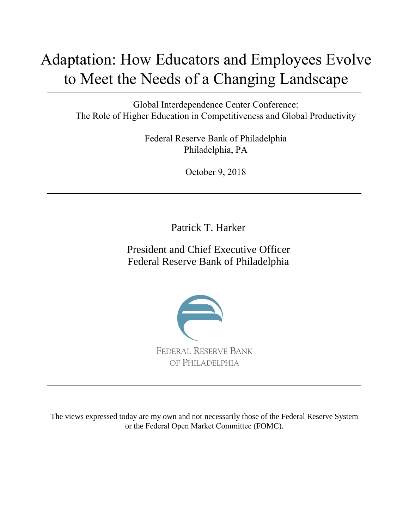# Adaptation: How Educators and Employees Evolve to Meet the Needs of a Changing Landscape

Global Interdependence Center Conference: The Role of Higher Education in Competitiveness and Global Productivity

> Federal Reserve Bank of Philadelphia Philadelphia, PA

> > October 9, 2018

Patrick T. Harker

President and Chief Executive Officer Federal Reserve Bank of Philadelphia



The views expressed today are my own and not necessarily those of the Federal Reserve System or the Federal Open Market Committee (FOMC).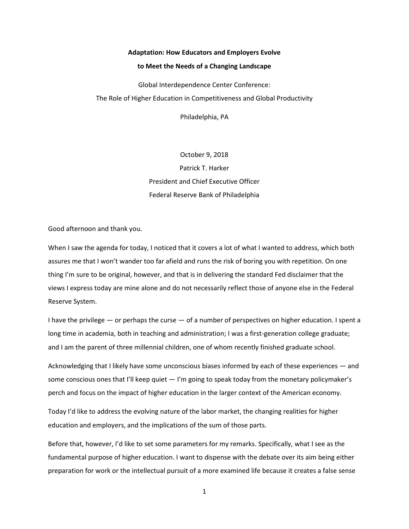## **Adaptation: How Educators and Employers Evolve**

#### **to Meet the Needs of a Changing Landscape**

Global Interdependence Center Conference: The Role of Higher Education in Competitiveness and Global Productivity

Philadelphia, PA

October 9, 2018 Patrick T. Harker President and Chief Executive Officer Federal Reserve Bank of Philadelphia

Good afternoon and thank you.

When I saw the agenda for today, I noticed that it covers a lot of what I wanted to address, which both assures me that I won't wander too far afield and runs the risk of boring you with repetition. On one thing I'm sure to be original, however, and that is in delivering the standard Fed disclaimer that the views I express today are mine alone and do not necessarily reflect those of anyone else in the Federal Reserve System.

I have the privilege — or perhaps the curse — of a number of perspectives on higher education. I spent a long time in academia, both in teaching and administration; I was a first-generation college graduate; and I am the parent of three millennial children, one of whom recently finished graduate school.

Acknowledging that I likely have some unconscious biases informed by each of these experiences — and some conscious ones that I'll keep quiet  $-$  I'm going to speak today from the monetary policymaker's perch and focus on the impact of higher education in the larger context of the American economy.

Today I'd like to address the evolving nature of the labor market, the changing realities for higher education and employers, and the implications of the sum of those parts.

Before that, however, I'd like to set some parameters for my remarks. Specifically, what I see as the fundamental purpose of higher education. I want to dispense with the debate over its aim being either preparation for work or the intellectual pursuit of a more examined life because it creates a false sense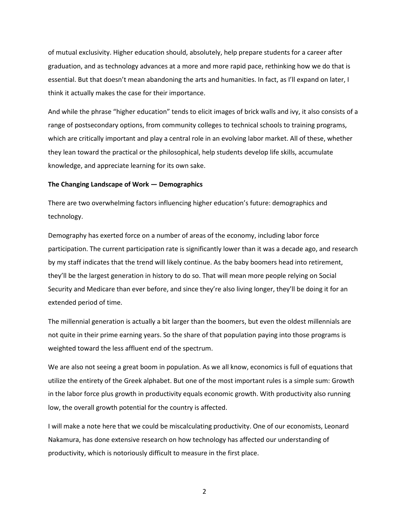of mutual exclusivity. Higher education should, absolutely, help prepare students for a career after graduation, and as technology advances at a more and more rapid pace, rethinking how we do that is essential. But that doesn't mean abandoning the arts and humanities. In fact, as I'll expand on later, I think it actually makes the case for their importance.

And while the phrase "higher education" tends to elicit images of brick walls and ivy, it also consists of a range of postsecondary options, from community colleges to technical schools to training programs, which are critically important and play a central role in an evolving labor market. All of these, whether they lean toward the practical or the philosophical, help students develop life skills, accumulate knowledge, and appreciate learning for its own sake.

#### **The Changing Landscape of Work — Demographics**

There are two overwhelming factors influencing higher education's future: demographics and technology.

Demography has exerted force on a number of areas of the economy, including labor force participation. The current participation rate is significantly lower than it was a decade ago, and research by my staff indicates that the trend will likely continue. As the baby boomers head into retirement, they'll be the largest generation in history to do so. That will mean more people relying on Social Security and Medicare than ever before, and since they're also living longer, they'll be doing it for an extended period of time.

The millennial generation is actually a bit larger than the boomers, but even the oldest millennials are not quite in their prime earning years. So the share of that population paying into those programs is weighted toward the less affluent end of the spectrum.

We are also not seeing a great boom in population. As we all know, economics is full of equations that utilize the entirety of the Greek alphabet. But one of the most important rules is a simple sum: Growth in the labor force plus growth in productivity equals economic growth. With productivity also running low, the overall growth potential for the country is affected.

I will make a note here that we could be miscalculating productivity. One of our economists, Leonard Nakamura, has done extensive research on how technology has affected our understanding of productivity, which is notoriously difficult to measure in the first place.

2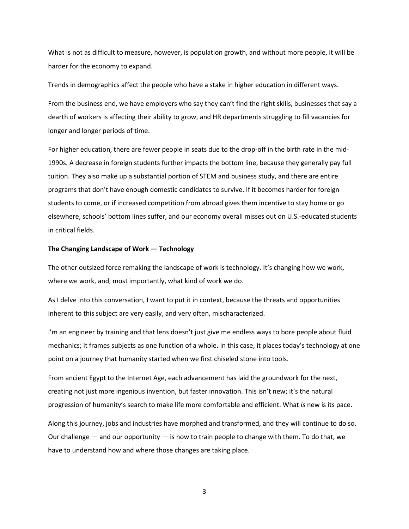What is not as difficult to measure, however, is population growth, and without more people, it will be harder for the economy to expand.

Trends in demographics affect the people who have a stake in higher education in different ways.

From the business end, we have employers who say they can't find the right skills, businesses that say a dearth of workers is affecting their ability to grow, and HR departments struggling to fill vacancies for longer and longer periods of time.

For higher education, there are fewer people in seats due to the drop-off in the birth rate in the mid-1990s. A decrease in foreign students further impacts the bottom line, because they generally pay full tuition. They also make up a substantial portion of STEM and business study, and there are entire programs that don't have enough domestic candidates to survive. If it becomes harder for foreign students to come, or if increased competition from abroad gives them incentive to stay home or go elsewhere, schools' bottom lines suffer, and our economy overall misses out on U.S.-educated students in critical fields.

#### **The Changing Landscape of Work — Technology**

The other outsized force remaking the landscape of work is technology. It's changing how we work, where we work, and, most importantly, what kind of work we do.

As I delve into this conversation, I want to put it in context, because the threats and opportunities inherent to this subject are very easily, and very often, mischaracterized.

I'm an engineer by training and that lens doesn't just give me endless ways to bore people about fluid mechanics; it frames subjects as one function of a whole. In this case, it places today's technology at one point on a journey that humanity started when we first chiseled stone into tools.

From ancient Egypt to the Internet Age, each advancement has laid the groundwork for the next, creating not just more ingenious invention, but faster innovation. This isn't new; it's the natural progression of humanity's search to make life more comfortable and efficient. What *is* new is its pace.

Along this journey, jobs and industries have morphed and transformed, and they will continue to do so. Our challenge  $-$  and our opportunity  $-$  is how to train people to change with them. To do that, we have to understand how and where those changes are taking place.

3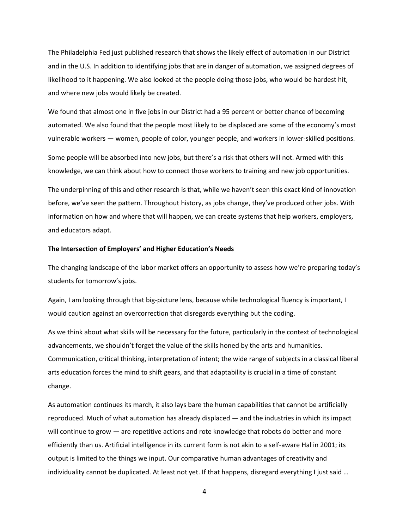The Philadelphia Fed just published research that shows the likely effect of automation in our District and in the U.S. In addition to identifying jobs that are in danger of automation, we assigned degrees of likelihood to it happening. We also looked at the people doing those jobs, who would be hardest hit, and where new jobs would likely be created.

We found that almost one in five jobs in our District had a 95 percent or better chance of becoming automated. We also found that the people most likely to be displaced are some of the economy's most vulnerable workers — women, people of color, younger people, and workers in lower-skilled positions.

Some people will be absorbed into new jobs, but there's a risk that others will not. Armed with this knowledge, we can think about how to connect those workers to training and new job opportunities.

The underpinning of this and other research is that, while we haven't seen this exact kind of innovation before, we've seen the pattern. Throughout history, as jobs change, they've produced other jobs. With information on how and where that will happen, we can create systems that help workers, employers, and educators adapt.

#### **The Intersection of Employers' and Higher Education's Needs**

The changing landscape of the labor market offers an opportunity to assess how we're preparing today's students for tomorrow's jobs.

Again, I am looking through that big-picture lens, because while technological fluency is important, I would caution against an overcorrection that disregards everything but the coding.

As we think about what skills will be necessary for the future, particularly in the context of technological advancements, we shouldn't forget the value of the skills honed by the arts and humanities. Communication, critical thinking, interpretation of intent; the wide range of subjects in a classical liberal arts education forces the mind to shift gears, and that adaptability is crucial in a time of constant change.

As automation continues its march, it also lays bare the human capabilities that cannot be artificially reproduced. Much of what automation has already displaced — and the industries in which its impact will continue to grow — are repetitive actions and rote knowledge that robots do better and more efficiently than us. Artificial intelligence in its current form is not akin to a self-aware Hal in 2001; its output is limited to the things we input. Our comparative human advantages of creativity and individuality cannot be duplicated. At least not yet. If that happens, disregard everything I just said …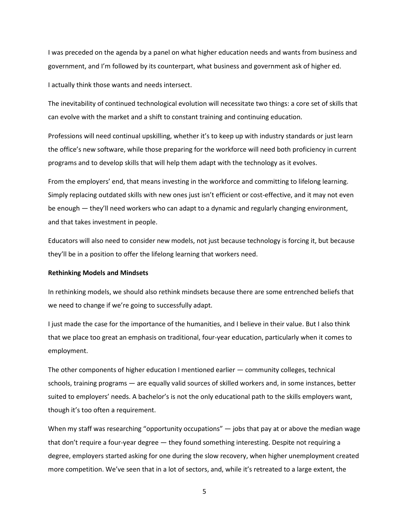I was preceded on the agenda by a panel on what higher education needs and wants from business and government, and I'm followed by its counterpart, what business and government ask of higher ed.

I actually think those wants and needs intersect.

The inevitability of continued technological evolution will necessitate two things: a core set of skills that can evolve with the market and a shift to constant training and continuing education.

Professions will need continual upskilling, whether it's to keep up with industry standards or just learn the office's new software, while those preparing for the workforce will need both proficiency in current programs and to develop skills that will help them adapt with the technology as it evolves.

From the employers' end, that means investing in the workforce and committing to lifelong learning. Simply replacing outdated skills with new ones just isn't efficient or cost-effective, and it may not even be enough — they'll need workers who can adapt to a dynamic and regularly changing environment, and that takes investment in people.

Educators will also need to consider new models, not just because technology is forcing it, but because they'll be in a position to offer the lifelong learning that workers need.

#### **Rethinking Models and Mindsets**

In rethinking models, we should also rethink mindsets because there are some entrenched beliefs that we need to change if we're going to successfully adapt.

I just made the case for the importance of the humanities, and I believe in their value. But I also think that we place too great an emphasis on traditional, four-year education, particularly when it comes to employment.

The other components of higher education I mentioned earlier — community colleges, technical schools, training programs — are equally valid sources of skilled workers and, in some instances, better suited to employers' needs. A bachelor's is not the only educational path to the skills employers want, though it's too often a requirement.

When my staff was researching "opportunity occupations"  $-$  jobs that pay at or above the median wage that don't require a four-year degree — they found something interesting. Despite not requiring a degree, employers started asking for one during the slow recovery, when higher unemployment created more competition. We've seen that in a lot of sectors, and, while it's retreated to a large extent, the

5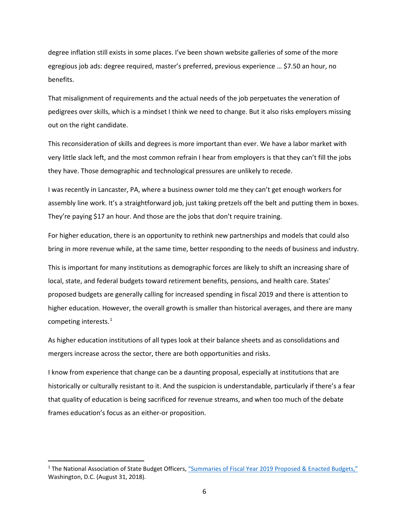degree inflation still exists in some places. I've been shown website galleries of some of the more egregious job ads: degree required, master's preferred, previous experience … \$7.50 an hour, no benefits.

That misalignment of requirements and the actual needs of the job perpetuates the veneration of pedigrees over skills, which is a mindset I think we need to change. But it also risks employers missing out on the right candidate.

This reconsideration of skills and degrees is more important than ever. We have a labor market with very little slack left, and the most common refrain I hear from employers is that they can't fill the jobs they have. Those demographic and technological pressures are unlikely to recede.

I was recently in Lancaster, PA, where a business owner told me they can't get enough workers for assembly line work. It's a straightforward job, just taking pretzels off the belt and putting them in boxes. They're paying \$17 an hour. And those are the jobs that don't require training.

For higher education, there is an opportunity to rethink new partnerships and models that could also bring in more revenue while, at the same time, better responding to the needs of business and industry.

This is important for many institutions as demographic forces are likely to shift an increasing share of local, state, and federal budgets toward retirement benefits, pensions, and health care. States' proposed budgets are generally calling for increased spending in fiscal 2019 and there is attention to higher education. However, the overall growth is smaller than historical averages, and there are many competing interests.<sup>[1](#page-6-0)</sup>

As higher education institutions of all types look at their balance sheets and as consolidations and mergers increase across the sector, there are both opportunities and risks.

I know from experience that change can be a daunting proposal, especially at institutions that are historically or culturally resistant to it. And the suspicion is understandable, particularly if there's a fear that quality of education is being sacrificed for revenue streams, and when too much of the debate frames education's focus as an either-or proposition.

<span id="page-6-0"></span><sup>&</sup>lt;sup>1</sup> The National Association of State Budget Officers, "Summaries of Fiscal Year 2019 Proposed & Enacted Budgets," Washington, D.C. (August 31, 2018).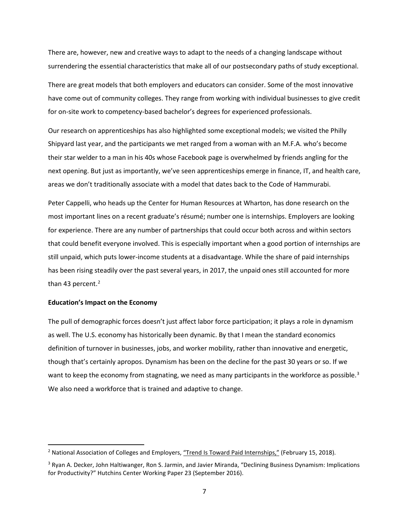There are, however, new and creative ways to adapt to the needs of a changing landscape without surrendering the essential characteristics that make all of our postsecondary paths of study exceptional.

There are great models that both employers and educators can consider. Some of the most innovative have come out of community colleges. They range from working with individual businesses to give credit for on-site work to competency-based bachelor's degrees for experienced professionals.

Our research on apprenticeships has also highlighted some exceptional models; we visited the Philly Shipyard last year, and the participants we met ranged from a woman with an M.F.A. who's become their star welder to a man in his 40s whose Facebook page is overwhelmed by friends angling for the next opening. But just as importantly, we've seen apprenticeships emerge in finance, IT, and health care, areas we don't traditionally associate with a model that dates back to the Code of Hammurabi.

Peter Cappelli, who heads up the Center for Human Resources at Wharton, has done research on the most important lines on a recent graduate's résumé; number one is internships. Employers are looking for experience. There are any number of partnerships that could occur both across and within sectors that could benefit everyone involved. This is especially important when a good portion of internships are still unpaid, which puts lower-income students at a disadvantage. While the share of paid internships has been rising steadily over the past several years, in 2017, the unpaid ones still accounted for more than 43 percent. $2$ 

#### **Education's Impact on the Economy**

The pull of demographic forces doesn't just affect labor force participation; it plays a role in dynamism as well. The U.S. economy has historically been dynamic. By that I mean the standard economics definition of turnover in businesses, jobs, and worker mobility, rather than innovative and energetic, though that's certainly apropos. Dynamism has been on the decline for the past 30 years or so. If we want to keep the economy from stagnating, we need as many participants in the workforce as possible.<sup>[3](#page-7-1)</sup> We also need a workforce that is trained and adaptive to change.

<span id="page-7-0"></span><sup>&</sup>lt;sup>2</sup> National Association of Colleges and Employers[, "Trend Is Toward Paid Internships,"](https://www.naceweb.org/about-us/press/2018/trend-is-toward-paid-internships/) (February 15, 2018).

<span id="page-7-1"></span><sup>3</sup> Ryan A. Decker, John Haltiwanger, Ron S. Jarmin, and Javier Miranda, "Declining Business Dynamism: Implications for Productivity?" Hutchins Center Working Paper 23 (September 2016).